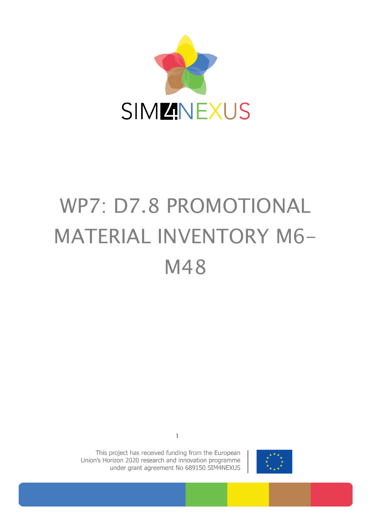

# WP7: D7.8 PROMOTIONAL MATERIAL INVENTORY M6- M48



This project has received funding from the European Union's Horizon 2020 research and innovation programme under grant agreement No 689150 SIM4NEXUS

1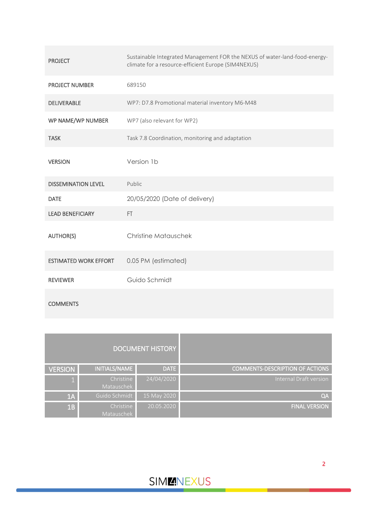| <b>PROJECT</b>               | Sustainable Integrated Management FOR the NEXUS of water-land-food-energy-<br>climate for a resource-efficient Europe (SIM4NEXUS) |
|------------------------------|-----------------------------------------------------------------------------------------------------------------------------------|
| <b>PROJECT NUMBER</b>        | 689150                                                                                                                            |
| <b>DELIVERABLE</b>           | WP7: D7.8 Promotional material inventory M6-M48                                                                                   |
| WP NAME/WP NUMBER            | WP7 (also relevant for WP2)                                                                                                       |
| <b>TASK</b>                  | Task 7.8 Coordination, monitoring and adaptation                                                                                  |
| <b>VERSION</b>               | Version 1b                                                                                                                        |
| <b>DISSEMINATION LEVEL</b>   | Public                                                                                                                            |
| <b>DATE</b>                  | 20/05/2020 (Date of delivery)                                                                                                     |
| <b>LEAD BENEFICIARY</b>      | FT.                                                                                                                               |
| <b>AUTHOR(S)</b>             | <b>Christine Matauschek</b>                                                                                                       |
| <b>ESTIMATED WORK EFFORT</b> | 0.05 PM (estimated)                                                                                                               |
| <b>REVIEWER</b>              | Guido Schmidt                                                                                                                     |
|                              |                                                                                                                                   |

| <b>COMMENTS</b> |  |
|-----------------|--|
|                 |  |

|                                        | <b>DOCUMENT HISTORY</b> |                         |                |
|----------------------------------------|-------------------------|-------------------------|----------------|
| <b>COMMENTS-DESCRIPTION OF ACTIONS</b> | <b>DATE</b>             | INITIALS/NAME           | <b>VERSION</b> |
| Internal Draft version                 | 24/04/2020              | Christine<br>Matauschek |                |
| QA                                     | 15 May 2020             | Guido Schmidt           | 1A             |
| <b>FINAL VERSION</b>                   | 20.05.2020              | Christine<br>Matauschek | 1B             |

**SIMMNEXUS**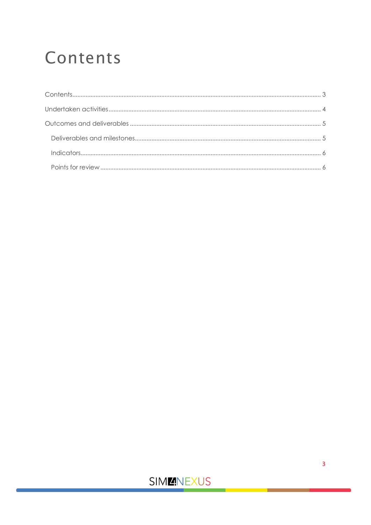## <span id="page-2-0"></span>Contents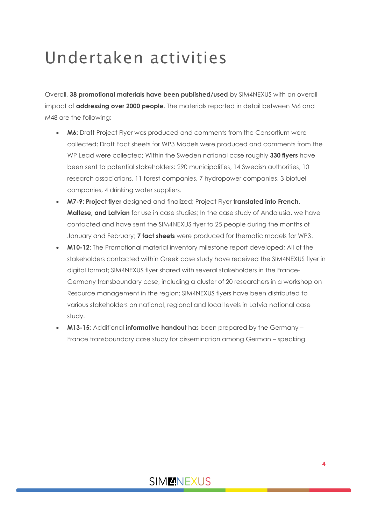### <span id="page-3-0"></span>Undertaken activities

Overall, **38 promotional materials have been published/used** by SIM4NEXUS with an overall impact of **addressing over 2000 people**. The materials reported in detail between M6 and M48 are the following:

- **M6:** Draft Project Flyer was produced and comments from the Consortium were collected; Draft Fact sheets for WP3 Models were produced and comments from the WP Lead were collected; Within the Sweden national case roughly **330 flyers** have been sent to potential stakeholders: 290 municipalities, 14 Swedish authorities, 10 research associations, 11 forest companies, 7 hydropower companies, 3 biofuel companies, 4 drinking water suppliers.
- **M7-9**: **Project flyer** designed and finalized; Project Flyer **translated into French, Maltese, and Latvian** for use in case studies; In the case study of Andalusia, we have contacted and have sent the SIM4NEXUS flyer to 25 people during the months of January and February; **7 fact sheets** were produced for thematic models for WP3.
- **M10-12**: The Promotional material inventory milestone report developed; All of the stakeholders contacted within Greek case study have received the SIM4NEXUS flyer in digital format; SIM4NEXUS flyer shared with several stakeholders in the France-Germany transboundary case, including a cluster of 20 researchers in a workshop on Resource management in the region; SIM4NEXUS flyers have been distributed to various stakeholders on national, regional and local levels in Latvia national case study.
- **M13-15:** Additional **informative handout** has been prepared by the Germany France transboundary case study for dissemination among German – speaking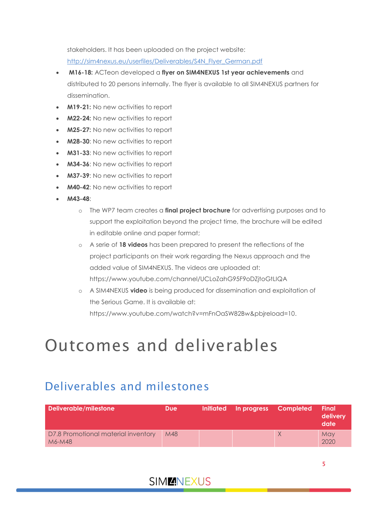stakeholders. It has been uploaded on the project website:

[http://sim4nexus.eu/userfiles/Deliverables/S4N\\_Flyer\\_German.pdf](http://sim4nexus.eu/userfiles/Deliverables/S4N_Flyer_German.pdf)

- **[M16-18:](file:///C:/Users/lro2/Documents/Projects/2016-P-01-Sim4Nexus/WP%207.8%20Coordination,monitoring/D7.9%20Monitoring%20report/Q6%20and%20Q7/%20ACTeon)** ACTeon developed a **flyer on SIM4NEXUS 1st year achievements** and distributed to 20 persons internally. The flyer is available to all SIM4NEXUS partners for dissemination.
- **M19-21:** No new activities to report
- **M22-24:** No new activities to report
- **M25-27:** No new activities to report
- **M28-30**: No new activities to report
- **M31-33**: No new activities to report
- **M34-36**: No new activities to report
- **M37-39**: No new activities to report
- **M40-42:** No new activities to report
- **M43-48**:
	- o The WP7 team creates a **final project brochure** for advertising purposes and to support the exploitation beyond the project time, the brochure will be edited in editable online and paper format;
	- o A serie of **18 videos** has been prepared to present the reflections of the project participants on their work regarding the Nexus approach and the added value of SIM4NEXUS. The videos are uploaded at: https://www.youtube.com/channel/UCLoZahG95F9oDZjtoGtLIQA
	- o A SIM4NEXUS **video** is being produced for dissemination and exploitation of the Serious Game. It is available at: https://www.youtube.com/watch?v=mFnOaSW82Bw&pbjreload=10.

### <span id="page-4-0"></span>Outcomes and deliverables

#### <span id="page-4-1"></span>Deliverables and milestones

| Deliverable/milestone                         | <b>Due</b> | <b>Initiated</b> | In progress | <b>Completed</b> | <b>Final</b><br>delivery<br>date |
|-----------------------------------------------|------------|------------------|-------------|------------------|----------------------------------|
| D7.8 Promotional material inventory<br>M6-M48 | M48        |                  |             | X                | May<br>2020                      |
|                                               |            |                  |             |                  |                                  |

#### **SIMMNEXUS**